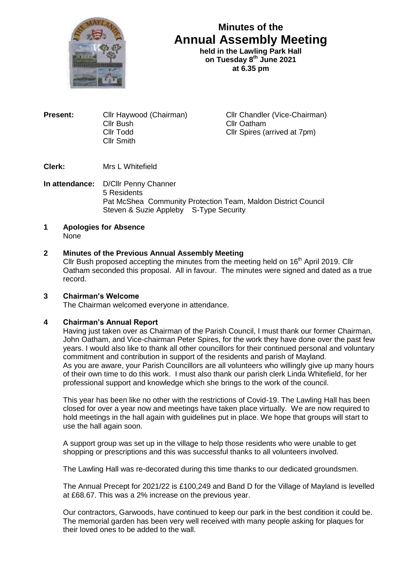

# **Minutes of the Annual Assembly Meeting**

held in the Lawling Park Hall **on Tuesday 8 th June 2021 at 6.35 pm**

**Present:** Cllr Haywood (Chairman) Cllr Chandler (Vice-Chairman) Cllr Bush Cllr Oatham<br>Cllr Todd Cllr Spires (a Cllr Smith

Cllr Spires (arrived at 7pm)

**Clerk:** Mrs L Whitefield

**In attendance:** D/Cllr Penny Channer 5 Residents Pat McShea Community Protection Team, Maldon District Council Steven & Suzie Appleby S-Type Security

**1 Apologies for Absence** None

## **2 Minutes of the Previous Annual Assembly Meeting**

Cllr Bush proposed accepting the minutes from the meeting held on  $16<sup>th</sup>$  April 2019. Cllr Oatham seconded this proposal. All in favour. The minutes were signed and dated as a true record.

## **3 Chairman's Welcome**

The Chairman welcomed everyone in attendance.

### **4 Chairman's Annual Report**

Having just taken over as Chairman of the Parish Council, I must thank our former Chairman, John Oatham, and Vice-chairman Peter Spires, for the work they have done over the past few years. I would also like to thank all other councillors for their continued personal and voluntary commitment and contribution in support of the residents and parish of Mayland. As you are aware, your Parish Councillors are all volunteers who willingly give up many hours of their own time to do this work. I must also thank our parish clerk Linda Whitefield, for her professional support and knowledge which she brings to the work of the council.

This year has been like no other with the restrictions of Covid-19. The Lawling Hall has been closed for over a year now and meetings have taken place virtually. We are now required to hold meetings in the hall again with guidelines put in place. We hope that groups will start to use the hall again soon.

A support group was set up in the village to help those residents who were unable to get shopping or prescriptions and this was successful thanks to all volunteers involved.

The Lawling Hall was re-decorated during this time thanks to our dedicated groundsmen.

The Annual Precept for 2021/22 is £100,249 and Band D for the Village of Mayland is levelled at £68.67. This was a 2% increase on the previous year.

Our contractors, Garwoods, have continued to keep our park in the best condition it could be. The memorial garden has been very well received with many people asking for plaques for their loved ones to be added to the wall.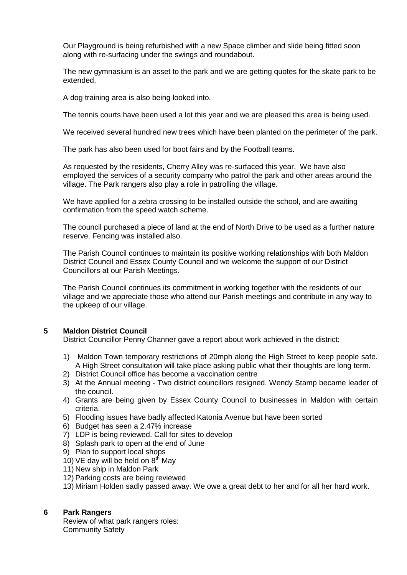Our Playground is being refurbished with a new Space climber and slide being fitted soon along with re-surfacing under the swings and roundabout.

The new gymnasium is an asset to the park and we are getting quotes for the skate park to be extended.

A dog training area is also being looked into.

The tennis courts have been used a lot this year and we are pleased this area is being used.

We received several hundred new trees which have been planted on the perimeter of the park.

The park has also been used for boot fairs and by the Football teams.

As requested by the residents, Cherry Alley was re-surfaced this year. We have also employed the services of a security company who patrol the park and other areas around the village. The Park rangers also play a role in patrolling the village.

We have applied for a zebra crossing to be installed outside the school, and are awaiting confirmation from the speed watch scheme.

The council purchased a piece of land at the end of North Drive to be used as a further nature reserve. Fencing was installed also.

The Parish Council continues to maintain its positive working relationships with both Maldon District Council and Essex County Council and we welcome the support of our District Councillors at our Parish Meetings.

The Parish Council continues its commitment in working together with the residents of our village and we appreciate those who attend our Parish meetings and contribute in any way to the upkeep of our village.

### **5 Maldon District Council**

District Councillor Penny Channer gave a report about work achieved in the district:

- 1) Maldon Town temporary restrictions of 20mph along the High Street to keep people safe. A High Street consultation will take place asking public what their thoughts are long term.
- 2) District Council office has become a vaccination centre
- 3) At the Annual meeting Two district councillors resigned. Wendy Stamp became leader of the council.
- 4) Grants are being given by Essex County Council to businesses in Maldon with certain criteria.
- 5) Flooding issues have badly affected Katonia Avenue but have been sorted
- 6) Budget has seen a 2.47% increase
- 7) LDP is being reviewed. Call for sites to develop
- 8) Splash park to open at the end of June
- 9) Plan to support local shops
- 10) VE day will be held on  $8<sup>th</sup>$  May
- 11) New ship in Maldon Park
- 12) Parking costs are being reviewed
- 13) Miriam Holden sadly passed away. We owe a great debt to her and for all her hard work.

### **6 Park Rangers**

Review of what park rangers roles: Community Safety